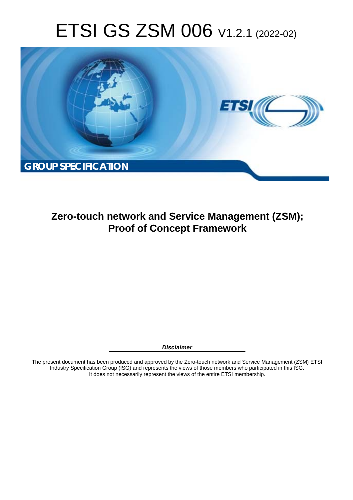# ETSI GS ZSM 006 V1.2.1 (2022-02)



**Zero-touch network and Service Management (ZSM); Proof of Concept Framework** 

*Disclaimer* 

The present document has been produced and approved by the Zero-touch network and Service Management (ZSM) ETSI Industry Specification Group (ISG) and represents the views of those members who participated in this ISG. It does not necessarily represent the views of the entire ETSI membership.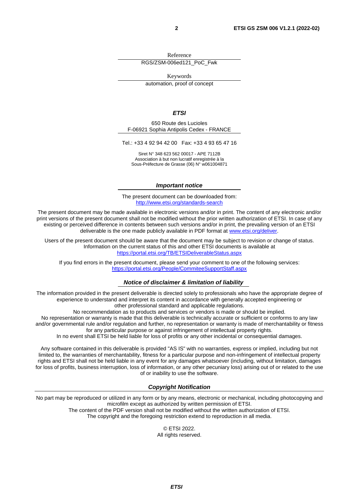Reference RGS/ZSM-006ed121\_PoC\_Fwk

Keywords

automation, proof of concept

#### *ETSI*

650 Route des Lucioles F-06921 Sophia Antipolis Cedex - FRANCE

Tel.: +33 4 92 94 42 00 Fax: +33 4 93 65 47 16

Siret N° 348 623 562 00017 - APE 7112B Association à but non lucratif enregistrée à la Sous-Préfecture de Grasse (06) N° w061004871

#### *Important notice*

The present document can be downloaded from: <http://www.etsi.org/standards-search>

The present document may be made available in electronic versions and/or in print. The content of any electronic and/or print versions of the present document shall not be modified without the prior written authorization of ETSI. In case of any existing or perceived difference in contents between such versions and/or in print, the prevailing version of an ETSI deliverable is the one made publicly available in PDF format at [www.etsi.org/deliver](http://www.etsi.org/deliver).

Users of the present document should be aware that the document may be subject to revision or change of status. Information on the current status of this and other ETSI documents is available at <https://portal.etsi.org/TB/ETSIDeliverableStatus.aspx>

If you find errors in the present document, please send your comment to one of the following services: <https://portal.etsi.org/People/CommiteeSupportStaff.aspx>

#### *Notice of disclaimer & limitation of liability*

The information provided in the present deliverable is directed solely to professionals who have the appropriate degree of experience to understand and interpret its content in accordance with generally accepted engineering or other professional standard and applicable regulations.

No recommendation as to products and services or vendors is made or should be implied.

No representation or warranty is made that this deliverable is technically accurate or sufficient or conforms to any law and/or governmental rule and/or regulation and further, no representation or warranty is made of merchantability or fitness for any particular purpose or against infringement of intellectual property rights.

In no event shall ETSI be held liable for loss of profits or any other incidental or consequential damages.

Any software contained in this deliverable is provided "AS IS" with no warranties, express or implied, including but not limited to, the warranties of merchantability, fitness for a particular purpose and non-infringement of intellectual property rights and ETSI shall not be held liable in any event for any damages whatsoever (including, without limitation, damages for loss of profits, business interruption, loss of information, or any other pecuniary loss) arising out of or related to the use of or inability to use the software.

#### *Copyright Notification*

No part may be reproduced or utilized in any form or by any means, electronic or mechanical, including photocopying and microfilm except as authorized by written permission of ETSI. The content of the PDF version shall not be modified without the written authorization of ETSI.

The copyright and the foregoing restriction extend to reproduction in all media.

© ETSI 2022. All rights reserved.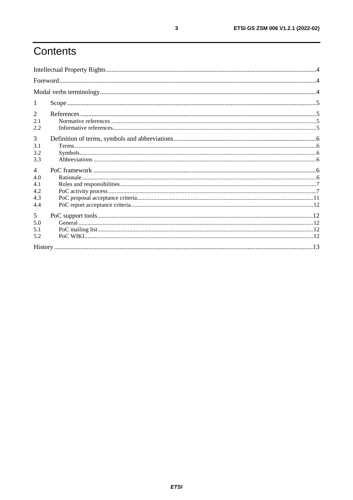# Contents

| 2<br>2.1<br>2.2                                   |  |  |
|---------------------------------------------------|--|--|
| 3<br>3.1<br>3.2<br>3.3                            |  |  |
| $\overline{4}$<br>4.0<br>4.1<br>4.2<br>4.3<br>4.4 |  |  |
| 5<br>5.0<br>5.1<br>5.2                            |  |  |
|                                                   |  |  |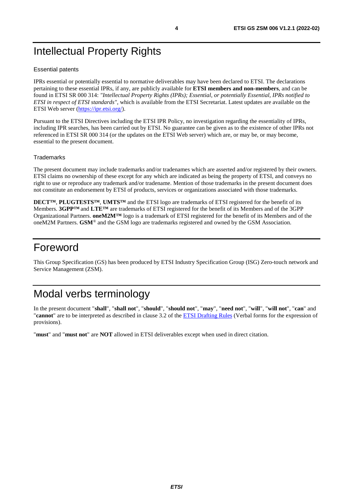# <span id="page-3-0"></span>Intellectual Property Rights

#### Essential patents

IPRs essential or potentially essential to normative deliverables may have been declared to ETSI. The declarations pertaining to these essential IPRs, if any, are publicly available for **ETSI members and non-members**, and can be found in ETSI SR 000 314: *"Intellectual Property Rights (IPRs); Essential, or potentially Essential, IPRs notified to ETSI in respect of ETSI standards"*, which is available from the ETSI Secretariat. Latest updates are available on the ETSI Web server ([https://ipr.etsi.org/\)](https://ipr.etsi.org/).

Pursuant to the ETSI Directives including the ETSI IPR Policy, no investigation regarding the essentiality of IPRs, including IPR searches, has been carried out by ETSI. No guarantee can be given as to the existence of other IPRs not referenced in ETSI SR 000 314 (or the updates on the ETSI Web server) which are, or may be, or may become, essential to the present document.

#### **Trademarks**

The present document may include trademarks and/or tradenames which are asserted and/or registered by their owners. ETSI claims no ownership of these except for any which are indicated as being the property of ETSI, and conveys no right to use or reproduce any trademark and/or tradename. Mention of those trademarks in the present document does not constitute an endorsement by ETSI of products, services or organizations associated with those trademarks.

**DECT™**, **PLUGTESTS™**, **UMTS™** and the ETSI logo are trademarks of ETSI registered for the benefit of its Members. **3GPP™** and **LTE™** are trademarks of ETSI registered for the benefit of its Members and of the 3GPP Organizational Partners. **oneM2M™** logo is a trademark of ETSI registered for the benefit of its Members and of the oneM2M Partners. **GSM**® and the GSM logo are trademarks registered and owned by the GSM Association.

# Foreword

This Group Specification (GS) has been produced by ETSI Industry Specification Group (ISG) Zero-touch network and Service Management (ZSM).

# Modal verbs terminology

In the present document "**shall**", "**shall not**", "**should**", "**should not**", "**may**", "**need not**", "**will**", "**will not**", "**can**" and "**cannot**" are to be interpreted as described in clause 3.2 of the [ETSI Drafting Rules](https://portal.etsi.org/Services/editHelp!/Howtostart/ETSIDraftingRules.aspx) (Verbal forms for the expression of provisions).

"**must**" and "**must not**" are **NOT** allowed in ETSI deliverables except when used in direct citation.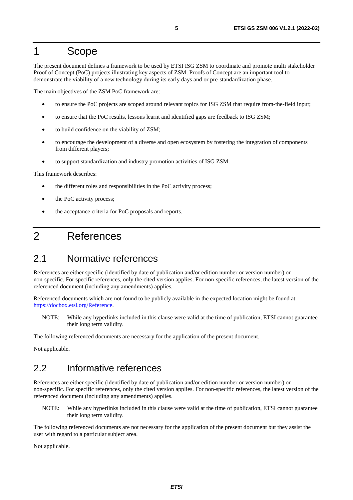# <span id="page-4-0"></span>1 Scope

The present document defines a framework to be used by ETSI ISG ZSM to coordinate and promote multi stakeholder Proof of Concept (PoC) projects illustrating key aspects of ZSM. Proofs of Concept are an important tool to demonstrate the viability of a new technology during its early days and or pre-standardization phase.

The main objectives of the ZSM PoC framework are:

- to ensure the PoC projects are scoped around relevant topics for ISG ZSM that require from-the-field input;
- to ensure that the PoC results, lessons learnt and identified gaps are feedback to ISG ZSM;
- to build confidence on the viability of ZSM;
- to encourage the development of a diverse and open ecosystem by fostering the integration of components from different players;
- to support standardization and industry promotion activities of ISG ZSM.

This framework describes:

- the different roles and responsibilities in the PoC activity process;
- the PoC activity process;
- the acceptance criteria for PoC proposals and reports.

# 2 References

### 2.1 Normative references

References are either specific (identified by date of publication and/or edition number or version number) or non-specific. For specific references, only the cited version applies. For non-specific references, the latest version of the referenced document (including any amendments) applies.

Referenced documents which are not found to be publicly available in the expected location might be found at <https://docbox.etsi.org/Reference>.

NOTE: While any hyperlinks included in this clause were valid at the time of publication, ETSI cannot guarantee their long term validity.

The following referenced documents are necessary for the application of the present document.

Not applicable.

### 2.2 Informative references

References are either specific (identified by date of publication and/or edition number or version number) or non-specific. For specific references, only the cited version applies. For non-specific references, the latest version of the referenced document (including any amendments) applies.

NOTE: While any hyperlinks included in this clause were valid at the time of publication, ETSI cannot guarantee their long term validity.

The following referenced documents are not necessary for the application of the present document but they assist the user with regard to a particular subject area.

Not applicable.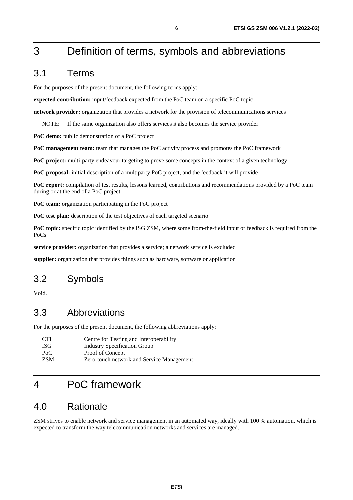# <span id="page-5-0"></span>3 Definition of terms, symbols and abbreviations

### 3.1 Terms

For the purposes of the present document, the following terms apply:

**expected contribution:** input/feedback expected from the PoC team on a specific PoC topic

**network provider:** organization that provides a network for the provision of telecommunications services

NOTE: If the same organization also offers services it also becomes the service provider.

PoC demo: public demonstration of a PoC project

**PoC management team:** team that manages the PoC activity process and promotes the PoC framework

PoC project: multi-party endeavour targeting to prove some concepts in the context of a given technology

**PoC proposal:** initial description of a multiparty PoC project, and the feedback it will provide

**PoC report:** compilation of test results, lessons learned, contributions and recommendations provided by a PoC team during or at the end of a PoC project

**PoC team:** organization participating in the PoC project

**PoC test plan:** description of the test objectives of each targeted scenario

**PoC topic:** specific topic identified by the ISG ZSM, where some from-the-field input or feedback is required from the PoCs

**service provider:** organization that provides a service; a network service is excluded

**supplier:** organization that provides things such as hardware, software or application

# 3.2 Symbols

Void.

### 3.3 Abbreviations

For the purposes of the present document, the following abbreviations apply:

| CTI. | Centre for Testing and Interoperability   |
|------|-------------------------------------------|
| ISG- | <b>Industry Specification Group</b>       |
| PoC  | Proof of Concept                          |
| ZSM  | Zero-touch network and Service Management |

# 4 PoC framework

# 4.0 Rationale

ZSM strives to enable network and service management in an automated way, ideally with 100 % automation, which is expected to transform the way telecommunication networks and services are managed.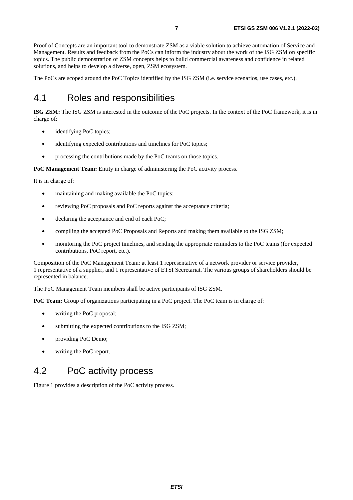<span id="page-6-0"></span>Proof of Concepts are an important tool to demonstrate ZSM as a viable solution to achieve automation of Service and Management. Results and feedback from the PoCs can inform the industry about the work of the ISG ZSM on specific topics. The public demonstration of ZSM concepts helps to build commercial awareness and confidence in related solutions, and helps to develop a diverse, open, ZSM ecosystem.

The PoCs are scoped around the PoC Topics identified by the ISG ZSM (i.e. service scenarios, use cases, etc.).

### 4.1 Roles and responsibilities

**ISG ZSM:** The ISG ZSM is interested in the outcome of the PoC projects. In the context of the PoC framework, it is in charge of:

- identifying PoC topics;
- identifying expected contributions and timelines for PoC topics;
- processing the contributions made by the PoC teams on those topics.

**PoC Management Team:** Entity in charge of administering the PoC activity process.

It is in charge of:

- maintaining and making available the PoC topics;
- reviewing PoC proposals and PoC reports against the acceptance criteria;
- declaring the acceptance and end of each PoC;
- compiling the accepted PoC Proposals and Reports and making them available to the ISG ZSM;
- monitoring the PoC project timelines, and sending the appropriate reminders to the PoC teams (for expected contributions, PoC report, etc.).

Composition of the PoC Management Team: at least 1 representative of a network provider or service provider, 1 representative of a supplier, and 1 representative of ETSI Secretariat. The various groups of shareholders should be represented in balance.

The PoC Management Team members shall be active participants of ISG ZSM.

**PoC Team:** Group of organizations participating in a PoC project. The PoC team is in charge of:

- writing the PoC proposal;
- submitting the expected contributions to the ISG ZSM;
- providing PoC Demo;
- writing the PoC report.

### 4.2 PoC activity process

Figure 1 provides a description of the PoC activity process.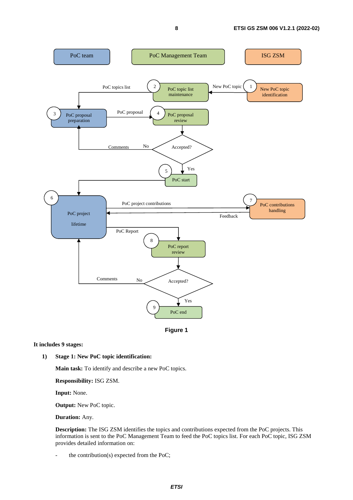

**Figure 1** 

#### **It includes 9 stages:**

#### **1) Stage 1: New PoC topic identification:**

 **Main task:** To identify and describe a new PoC topics.

 **Responsibility:** ISG ZSM.

 **Input:** None.

 **Output:** New PoC topic.

 **Duration:** Any.

 **Description:** The ISG ZSM identifies the topics and contributions expected from the PoC projects. This information is sent to the PoC Management Team to feed the PoC topics list. For each PoC topic, ISG ZSM provides detailed information on:

the contribution(s) expected from the PoC;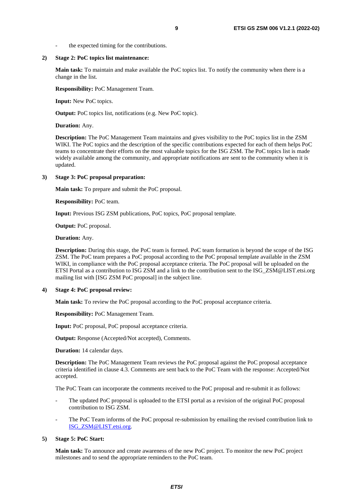#### **2) Stage 2: PoC topics list maintenance:**

 **Main task:** To maintain and make available the PoC topics list. To notify the community when there is a change in the list.

 **Responsibility:** PoC Management Team.

 **Input:** New PoC topics.

 **Output:** PoC topics list, notifications (e.g. New PoC topic).

 **Duration:** Any.

 **Description:** The PoC Management Team maintains and gives visibility to the PoC topics list in the ZSM WIKI. The PoC topics and the description of the specific contributions expected for each of them helps PoC teams to concentrate their efforts on the most valuable topics for the ISG ZSM. The PoC topics list is made widely available among the community, and appropriate notifications are sent to the community when it is updated.

#### **3) Stage 3: PoC proposal preparation:**

 **Main task:** To prepare and submit the PoC proposal.

 **Responsibility:** PoC team.

 **Input:** Previous ISG ZSM publications, PoC topics, PoC proposal template.

 **Output:** PoC proposal.

 **Duration:** Any.

**Description:** During this stage, the PoC team is formed. PoC team formation is beyond the scope of the ISG ZSM. The PoC team prepares a PoC proposal according to the PoC proposal template available in the ZSM WIKI, in compliance with the PoC proposal acceptance criteria. The PoC proposal will be uploaded on the ETSI Portal as a contribution to ISG ZSM and a link to the contribution sent to the ISG\_ZSM@LIST.etsi.org mailing list with [ISG ZSM PoC proposal] in the subject line.

#### **4) Stage 4: PoC proposal review:**

 **Main task:** To review the PoC proposal according to the PoC proposal acceptance criteria.

 **Responsibility:** PoC Management Team.

 **Input:** PoC proposal, PoC proposal acceptance criteria.

 **Output:** Response (Accepted/Not accepted), Comments.

 **Duration:** 14 calendar days.

**Description:** The PoC Management Team reviews the PoC proposal against the PoC proposal acceptance criteria identified in clause 4.3. Comments are sent back to the PoC Team with the response: Accepted/Not accepted.

The PoC Team can incorporate the comments received to the PoC proposal and re-submit it as follows:

- The updated PoC proposal is uploaded to the ETSI portal as a revision of the original PoC proposal contribution to ISG ZSM.
- The PoC Team informs of the PoC proposal re-submission by emailing the revised contribution link to [ISG\\_ZSM@LIST.etsi.org](mailto:ISG_ZSM@LIST.etsi.org).

#### **5) Stage 5: PoC Start:**

 **Main task:** To announce and create awareness of the new PoC project. To monitor the new PoC project milestones and to send the appropriate reminders to the PoC team.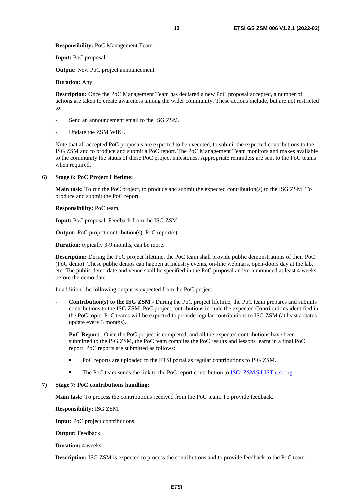**Responsibility:** PoC Management Team.

 **Input:** PoC proposal.

**Output:** New PoC project announcement.

#### **Duration:** Any.

 **Description:** Once the PoC Management Team has declared a new PoC proposal accepted, a number of actions are taken to create awareness among the wider community. These actions include, but are not restricted to:

- Send an announcement email to the ISG ZSM.
- Update the ZSM WIKI.

 Note that all accepted PoC proposals are expected to be executed, to submit the expected contributions to the ISG ZSM and to produce and submit a PoC report. The PoC Management Team monitors and makes available to the community the status of these PoC project milestones. Appropriate reminders are sent to the PoC teams when required.

#### **6) Stage 6: PoC Project Lifetime:**

 **Main task:** To run the PoC project, to produce and submit the expected contribution(s) to the ISG ZSM. To produce and submit the PoC report.

 **Responsibility:** PoC team.

 **Input:** PoC proposal, Feedback from the ISG ZSM.

 **Output:** PoC project contribution(s), PoC report(s).

 **Duration:** typically 3-9 months, can be more.

 **Description:** During the PoC project lifetime, the PoC team shall provide public demonstrations of their PoC (PoC demo). These public demos can happen at industry events, on-line webinars, open-doors day at the lab, etc. The public demo date and venue shall be specified in the PoC proposal and/or announced at least 4 weeks before the demo date*.*

In addition, the following output is expected from the PoC project:

- **Contribution(s) to the ISG ZSM** During the PoC project lifetime, the PoC team prepares and submits contributions to the ISG ZSM. PoC project contributions include the expected Contributions identified in the PoC topic. PoC teams will be expected to provide regular contributions to ISG ZSM (at least a status update every 3 months).
- **PoC Report** Once the PoC project is completed, and all the expected contributions have been submitted to the ISG ZSM, the PoC team compiles the PoC results and lessons learnt in a final PoC report. PoC reports are submitted as follows:
	- PoC reports are uploaded to the ETSI portal as regular contributions to ISG ZSM.
	- The PoC team sends the link to the PoC report contribution to **ISG\_ZSM@LIST**.etsi.org.

#### **7) Stage 7: PoC contributions handling:**

 **Main task:** To process the contributions received from the PoC team. To provide feedback.

 **Responsibility:** ISG ZSM.

 **Input:** PoC project contributions.

 **Output:** Feedback.

 **Duration:** 4 weeks.

 **Description:** ISG ZSM is expected to process the contributions and to provide feedback to the PoC team.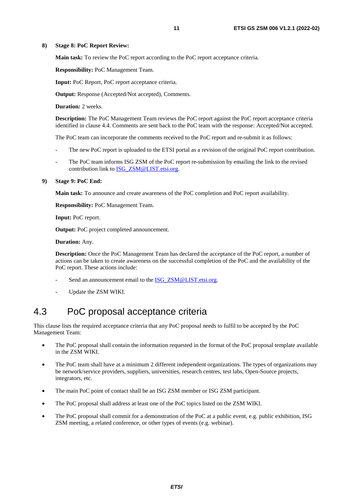#### <span id="page-10-0"></span>**8) Stage 8: PoC Report Review:**

 **Main task:** To review the PoC report according to the PoC report acceptance criteria.

 **Responsibility:** PoC Management Team.

 **Input:** PoC Report, PoC report acceptance criteria.

 **Output:** Response (Accepted/Not accepted), Comments.

 **Duration***:* 2 weeks.

 **Description:** The PoC Management Team reviews the PoC report against the PoC report acceptance criteria identified in clause 4.4. Comments are sent back to the PoC team with the response: Accepted/Not accepted.

The PoC team can incorporate the comments received to the PoC report and re-submit it as follows:

- The new PoC report is uploaded to the ETSI portal as a revision of the original PoC report contribution.
- The PoC team informs ISG ZSM of the PoC report re-submission by emailing the link to the revised contribution link to [ISG\\_ZSM@LIST.etsi.org](mailto:ISG_ZSM@LIST.etsi.org).

#### **9) Stage 9: PoC End:**

 **Main task:** To announce and create awareness of the PoC completion and PoC report availability.

 **Responsibility:** PoC Management Team.

 **Input:** PoC report.

 **Output:** PoC project completed announcement.

#### **Duration:** Any.

 **Description:** Once the PoC Management Team has declared the acceptance of the PoC report, a number of actions can be taken to create awareness on the successful completion of the PoC and the availability of the PoC report. These actions include:

- Send an announcement email to the [ISG\\_ZSM@LIST.etsi.org.](mailto:ISG_MEC@LIST.etsi.org)
- Update the ZSM WIKI.

### 4.3 PoC proposal acceptance criteria

This clause lists the required acceptance criteria that any PoC proposal needs to fulfil to be accepted by the PoC Management Team:

- The PoC proposal shall contain the information requested in the format of the PoC proposal template available in the ZSM WIKI.
- The PoC team shall have at a minimum 2 different independent organizations. The types of organizations may be network/service providers, suppliers, universities, research centres, test labs, Open-Source projects, integrators, etc.
- The main PoC point of contact shall be an ISG ZSM member or ISG ZSM participant.
- The PoC proposal shall address at least one of the PoC topics listed on the ZSM WIKI.
- The PoC proposal shall commit for a demonstration of the PoC at a public event, e.g. public exhibition, ISG ZSM meeting, a related conference, or other types of events (e.g. webinar).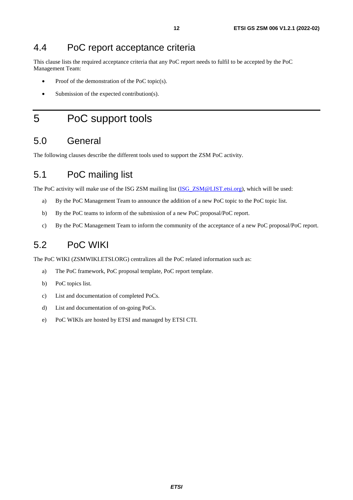# <span id="page-11-0"></span>4.4 PoC report acceptance criteria

This clause lists the required acceptance criteria that any PoC report needs to fulfil to be accepted by the PoC Management Team:

- Proof of the demonstration of the PoC topic(s).
- Submission of the expected contribution(s).

# 5 PoC support tools

# 5.0 General

The following clauses describe the different tools used to support the ZSM PoC activity.

# 5.1 PoC mailing list

The PoC activity will make use of the ISG ZSM mailing list (ISG ZSM@LIST.etsi.org), which will be used:

- a) By the PoC Management Team to announce the addition of a new PoC topic to the PoC topic list.
- b) By the PoC teams to inform of the submission of a new PoC proposal/PoC report.
- c) By the PoC Management Team to inform the community of the acceptance of a new PoC proposal/PoC report.

# 5.2 PoC WIKI

The PoC WIKI (ZSMWIKI.ETSI.ORG) centralizes all the PoC related information such as:

- a) The PoC framework, PoC proposal template, PoC report template.
- b) PoC topics list.
- c) List and documentation of completed PoCs.
- d) List and documentation of on-going PoCs.
- e) PoC WIKIs are hosted by ETSI and managed by ETSI CTI.